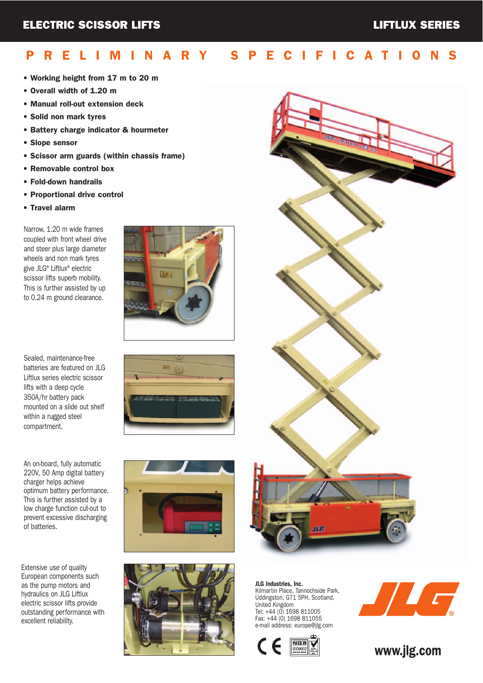## PRELIMINARY SPECIFICATIONS

- Working height from 17 m to 20 m
- Overall width of 1.20 m
- Manual roll-out extension deck
- Solid non mark tyres
- Battery charge indicator & hourmeter
- Slope sensor
- Scissor arm guards (within chassis frame)
- Removable control box
- Fold-down handrails
- Proportional drive control
- Travel alarm

Narrow, 1.20 m wide frames coupled with front wheel drive and steer plus large diameter wheels and non mark tyres give JLG® Liftlux® electric scissor lifts superb mobility. This is further assisted by up to 0.24 m ground clearance.

Sealed, maintenance-free batteries are featured on JLG Liftlux series electric scissor lifts with a deep cycle 350A/hr battery pack mounted on a slide out shelf within a rugged steel compartment.

An on-board, fully automatic 220V, 50 Amp digital battery charger helps achieve optimum battery performance. This is further assisted by a low charge function cut-out to prevent excessive discharging of batteries.

Extensive use of quality European components such as the pump motors and hydraulics on JLG Liftlux electric scissor lifts provide outstanding performance with excellent reliability.











JLG Industries, Inc. Kilmartin Place, Tannochside Park, Uddingston, G71 5PH, Scotland, United Kingdom Tel: +44 (0) 1698 811005 Fax: +44 (0) 1698 811055 e-mail address: europe@jlg.com





www.jlg.com